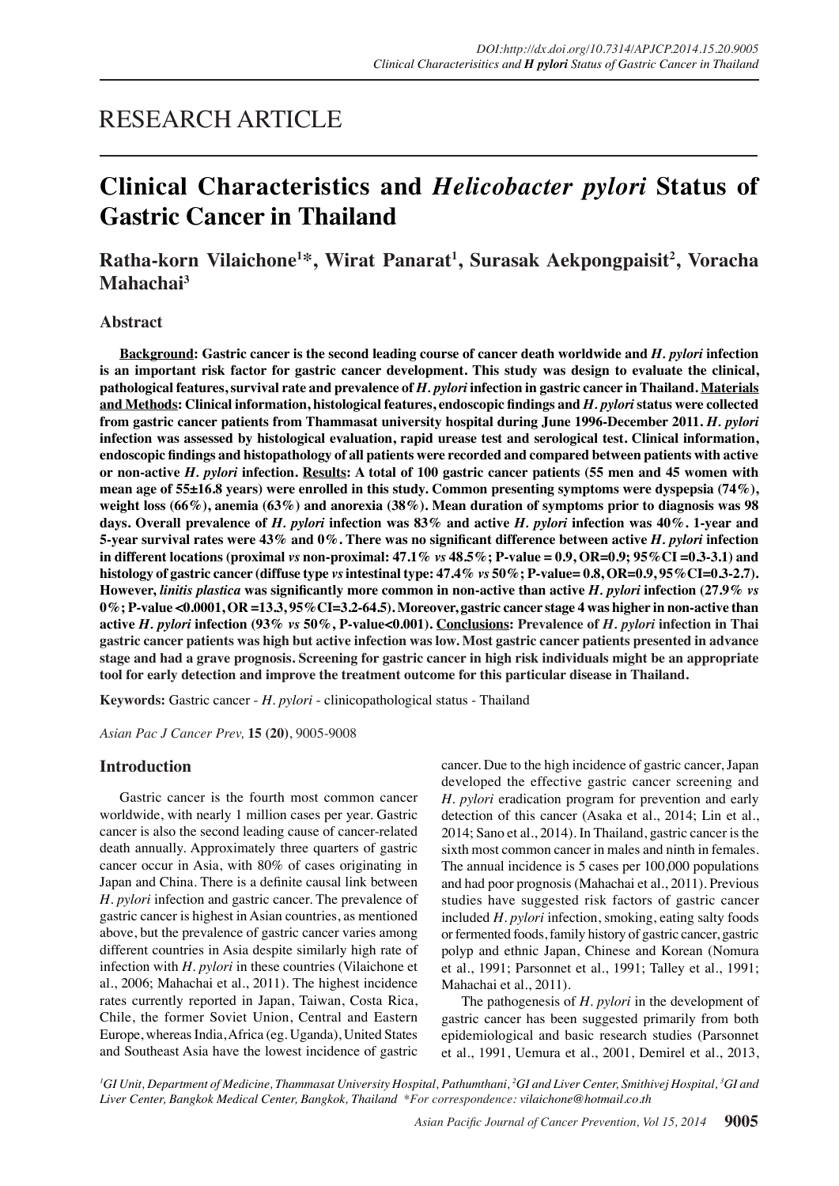# RESEARCH ARTICLE

# **Clinical Characteristics and** *Helicobacter pylori* **Status of Gastric Cancer in Thailand**

# **Ratha-korn Vilaichone1 \*, Wirat Panarat1 , Surasak Aekpongpaisit2 , Voracha Mahachai3**

## **Abstract**

**Background: Gastric cancer is the second leading course of cancer death worldwide and** *H. pylori* **infection is an important risk factor for gastric cancer development. This study was design to evaluate the clinical, pathological features, survival rate and prevalence of** *H. pylori* **infection in gastric cancer in Thailand. Materials and Methods: Clinical information, histological features, endoscopic findings and** *H. pylori* **status were collected from gastric cancer patients from Thammasat university hospital during June 1996-December 2011.** *H. pylori* **infection was assessed by histological evaluation, rapid urease test and serological test. Clinical information, endoscopic findings and histopathology of all patients were recorded and compared between patients with active or non-active** *H. pylori* **infection. Results: A total of 100 gastric cancer patients (55 men and 45 women with mean age of 55±16.8 years) were enrolled in this study. Common presenting symptoms were dyspepsia (74%), weight loss (66%), anemia (63%) and anorexia (38%). Mean duration of symptoms prior to diagnosis was 98 days. Overall prevalence of** *H. pylori* **infection was 83% and active** *H. pylori* **infection was 40%. 1-year and 5-year survival rates were 43% and 0%. There was no significant difference between active** *H. pylori* **infection in different locations (proximal** *vs* **non-proximal: 47.1%** *vs* **48.5%; P-value = 0.9, OR=0.9; 95%CI =0.3-3.1) and histology of gastric cancer (diffuse type** *vs* **intestinal type: 47.4%** *vs* **50%; P-value= 0.8, OR=0.9, 95%CI=0.3-2.7). However,** *linitis plastica* **was significantly more common in non-active than active** *H. pylori* **infection (27.9%** *vs* **0%; P-value <0.0001, OR =13.3, 95%CI=3.2-64.5). Moreover, gastric cancer stage 4 was higher in non-active than active** *H. pylori* **infection (93%** *vs* **50%, P-value<0.001). Conclusions: Prevalence of** *H. pylori* **infection in Thai gastric cancer patients was high but active infection was low. Most gastric cancer patients presented in advance stage and had a grave prognosis. Screening for gastric cancer in high risk individuals might be an appropriate tool for early detection and improve the treatment outcome for this particular disease in Thailand.**

**Keywords:** Gastric cancer - *H. pylori* - clinicopathological status - Thailand

*Asian Pac J Cancer Prev,* **15 (20)**, 9005-9008

# **Introduction**

Gastric cancer is the fourth most common cancer worldwide, with nearly 1 million cases per year. Gastric cancer is also the second leading cause of cancer-related death annually. Approximately three quarters of gastric cancer occur in Asia, with 80% of cases originating in Japan and China. There is a definite causal link between *H. pylori* infection and gastric cancer. The prevalence of gastric cancer is highest in Asian countries, as mentioned above, but the prevalence of gastric cancer varies among different countries in Asia despite similarly high rate of infection with *H. pylori* in these countries (Vilaichone et al., 2006; Mahachai et al., 2011). The highest incidence rates currently reported in Japan, Taiwan, Costa Rica, Chile, the former Soviet Union, Central and Eastern Europe, whereas India, Africa (eg. Uganda), United States and Southeast Asia have the lowest incidence of gastric cancer. Due to the high incidence of gastric cancer, Japan developed the effective gastric cancer screening and *H. pylori* eradication program for prevention and early detection of this cancer (Asaka et al., 2014; Lin et al., 2014; Sano et al., 2014). In Thailand, gastric cancer is the sixth most common cancer in males and ninth in females. The annual incidence is 5 cases per 100,000 populations and had poor prognosis (Mahachai et al., 2011). Previous studies have suggested risk factors of gastric cancer included *H. pylori* infection, smoking, eating salty foods or fermented foods, family history of gastric cancer, gastric polyp and ethnic Japan, Chinese and Korean (Nomura et al., 1991; Parsonnet et al., 1991; Talley et al., 1991; Mahachai et al., 2011).

The pathogenesis of *H. pylori* in the development of gastric cancer has been suggested primarily from both epidemiological and basic research studies (Parsonnet et al., 1991, Uemura et al., 2001, Demirel et al., 2013,

*1 GI Unit, Department of Medicine, Thammasat University Hospital, Pathumthani, 2 GI and Liver Center, Smithivej Hospital, 3 GI and Liver Center, Bangkok Medical Center, Bangkok, Thailand \*For correspondence: vilaichone@hotmail.co.th*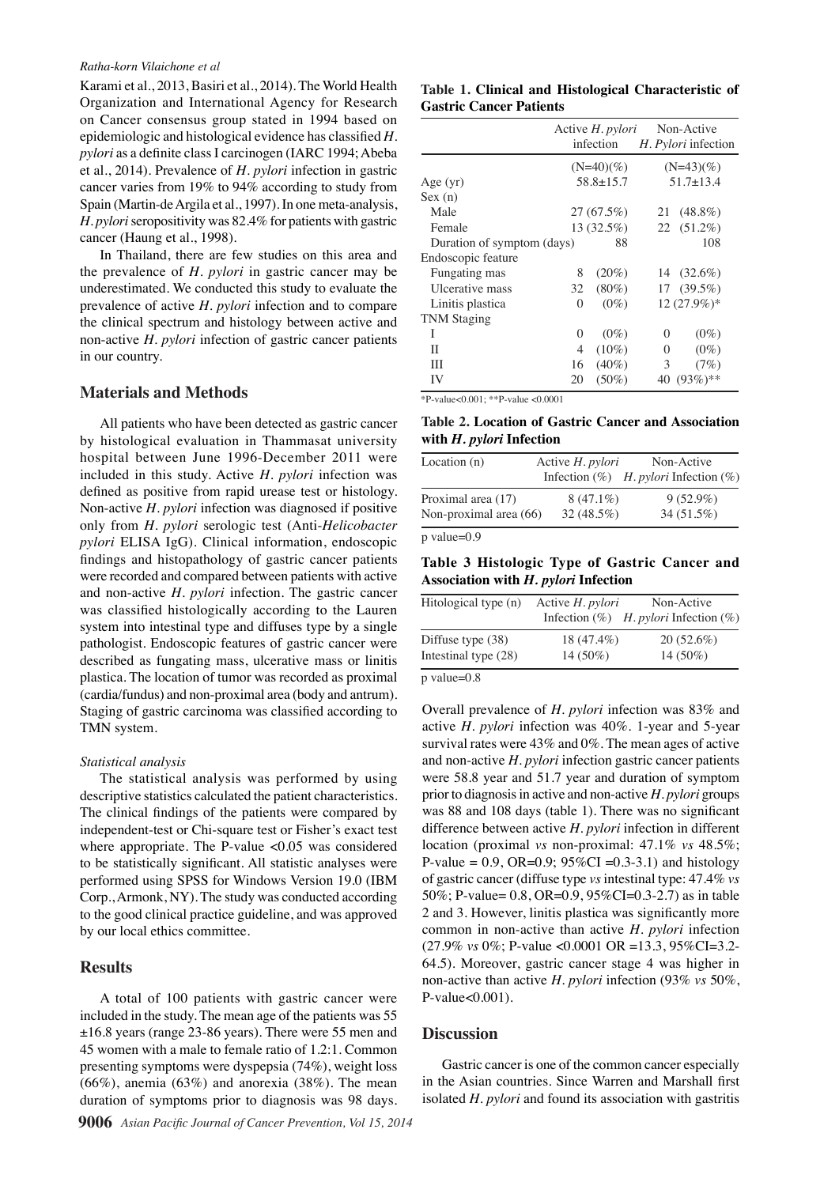Karami et al., 2013, Basiri et al., 2014). The World Health Organization and International Agency for Research on Cancer consensus group stated in 1994 based on epidemiologic and histological evidence has classified *H. pylori* as a definite class I carcinogen (IARC 1994; Abeba et al., 2014). Prevalence of *H. pylori* infection in gastric cancer varies from 19% to 94% according to study from Spain (Martin-de Argila et al., 1997). In one meta-analysis, *H. pylori* seropositivity was 82.4% for patients with gastric cancer (Haung et al., 1998).

In Thailand, there are few studies on this area and the prevalence of *H. pylori* in gastric cancer may be underestimated. We conducted this study to evaluate the prevalence of active *H. pylori* infection and to compare the clinical spectrum and histology between active and non-active *H. pylori* infection of gastric cancer patients in our country.

### **Materials and Methods**

All patients who have been detected as gastric cancer by histological evaluation in Thammasat university hospital between June 1996-December 2011 were included in this study. Active *H. pylori* infection was defined as positive from rapid urease test or histology. Non-active *H. pylori* infection was diagnosed if positive only from *H. pylori* serologic test (Anti-*Helicobacter pylori* ELISA IgG). Clinical information, endoscopic findings and histopathology of gastric cancer patients were recorded and compared between patients with active and non-active *H. pylori* infection. The gastric cancer was classified histologically according to the Lauren system into intestinal type and diffuses type by a single pathologist. Endoscopic features of gastric cancer were described as fungating mass, ulcerative mass or linitis plastica. The location of tumor was recorded as proximal (cardia/fundus) and non-proximal area (body and antrum). Staging of gastric carcinoma was classified according to TMN system.

#### *Statistical analysis*

The statistical analysis was performed by using descriptive statistics calculated the patient characteristics. The clinical findings of the patients were compared by independent-test or Chi-square test or Fisher's exact test where appropriate. The P-value <0.05 was considered to be statistically significant. All statistic analyses were performed using SPSS for Windows Version 19.0 (IBM Corp., Armonk, NY). The study was conducted according to the good clinical practice guideline, and was approved by our local ethics committee.

### **Results**

A total of 100 patients with gastric cancer were included in the study. The mean age of the patients was 55 ±16.8 years (range 23-86 years). There were 55 men and 45 women with a male to female ratio of 1.2:1. Common presenting symptoms were dyspepsia (74%), weight loss  $(66\%)$ , anemia  $(63\%)$  and anorexia  $(38\%)$ . The mean duration of symptoms prior to diagnosis was 98 days.

#### **Table 1. Clinical and Histological Characteristic of Gastric Cancer Patients**

|                            |                 | Active H. <i>pylori</i><br>infection |               | Non-Active<br>H. Pylori infection |
|----------------------------|-----------------|--------------------------------------|---------------|-----------------------------------|
|                            | $(N=40)(\%)$    |                                      | $(N=43)(\%)$  |                                   |
| Age $(yr)$                 | $58.8 \pm 15.7$ |                                      | $51.7 + 13.4$ |                                   |
| Sex(n)                     |                 |                                      |               |                                   |
| Male                       | 27(67.5%)       |                                      |               | 21 (48.8%)                        |
| Female                     |                 | $13(32.5\%)$                         |               | 22 (51.2%)                        |
| Duration of symptom (days) |                 | 88                                   |               | 108                               |
| Endoscopic feature         |                 |                                      |               |                                   |
| Fungating mas              | 8               | $(20\%)$                             |               | 14 $(32.6\%)$                     |
| Ulcerative mass            | 32              | $(80\%)$                             |               | $17(39.5\%)$                      |
| Linitis plastica           | $\theta$        | $(0\%)$                              |               | $12(27.9\%)*$                     |
| <b>TNM Staging</b>         |                 |                                      |               |                                   |
| I                          | $\theta$        | $(0\%)$                              | 0             | $(0\%)$                           |
| Н                          | 4               | $(10\%)$                             | $\theta$      | $(0\%)$                           |
| Ш                          | 16              | $(40\%)$                             | 3             | (7%)                              |
| IV                         | 20              | $(50\%)$                             |               | 40 (93%)**                        |

 $*P-value < 0.001$ ;  $*P-value < 0.0001$ 

#### **Table 2. Location of Gastric Cancer and Association with** *H. pylori* **Infection**

| Location $(n)$         | Active H. pylori | Non-Active<br>Infection $(\%)$ H. pylori Infection $(\%)$ |
|------------------------|------------------|-----------------------------------------------------------|
| Proximal area (17)     | $8(47.1\%)$      | $9(52.9\%)$                                               |
| Non-proximal area (66) | 32 (48.5%)       | $34(51.5\%)$                                              |
| $p$ value= $0.9$       |                  |                                                           |

**Table 3 Histologic Type of Gastric Cancer and Association with** *H. pylori* **Infection**

| Active H. <i>pylori</i> | Non-Active<br>Infection $(\%)$ H. pylori Infection $(\%)$ |
|-------------------------|-----------------------------------------------------------|
| 18 (47.4%)              | $20(52.6\%)$                                              |
| $14(50\%)$              | 14 (50%)                                                  |
|                         |                                                           |

p value=0.8

Overall prevalence of *H. pylori* infection was 83% and active *H. pylori* infection was 40%. 1-year and 5-year survival rates were 43% and 0%. The mean ages of active and non-active *H. pylori* infection gastric cancer patients were 58.8 year and 51.7 year and duration of symptom prior to diagnosis in active and non-active *H. pylori* groups was 88 and 108 days (table 1). There was no significant difference between active *H. pylori* infection in different location (proximal *vs* non-proximal: 47.1% *vs* 48.5%; P-value =  $0.9$ , OR= $0.9$ ;  $95\%$ CI =  $0.3-3.1$ ) and histology of gastric cancer (diffuse type *vs* intestinal type: 47.4% *vs*  50%; P-value= 0.8, OR=0.9, 95%CI=0.3-2.7) as in table 2 and 3. However, linitis plastica was significantly more common in non-active than active *H. pylori* infection (27.9% *vs* 0%; P-value <0.0001 OR =13.3, 95%CI=3.2- 64.5). Moreover, gastric cancer stage 4 was higher in non-active than active *H. pylori* infection (93% *vs* 50%, P-value<0.001).

#### **Discussion**

Gastric cancer is one of the common cancer especially in the Asian countries. Since Warren and Marshall first isolated *H. pylori* and found its association with gastritis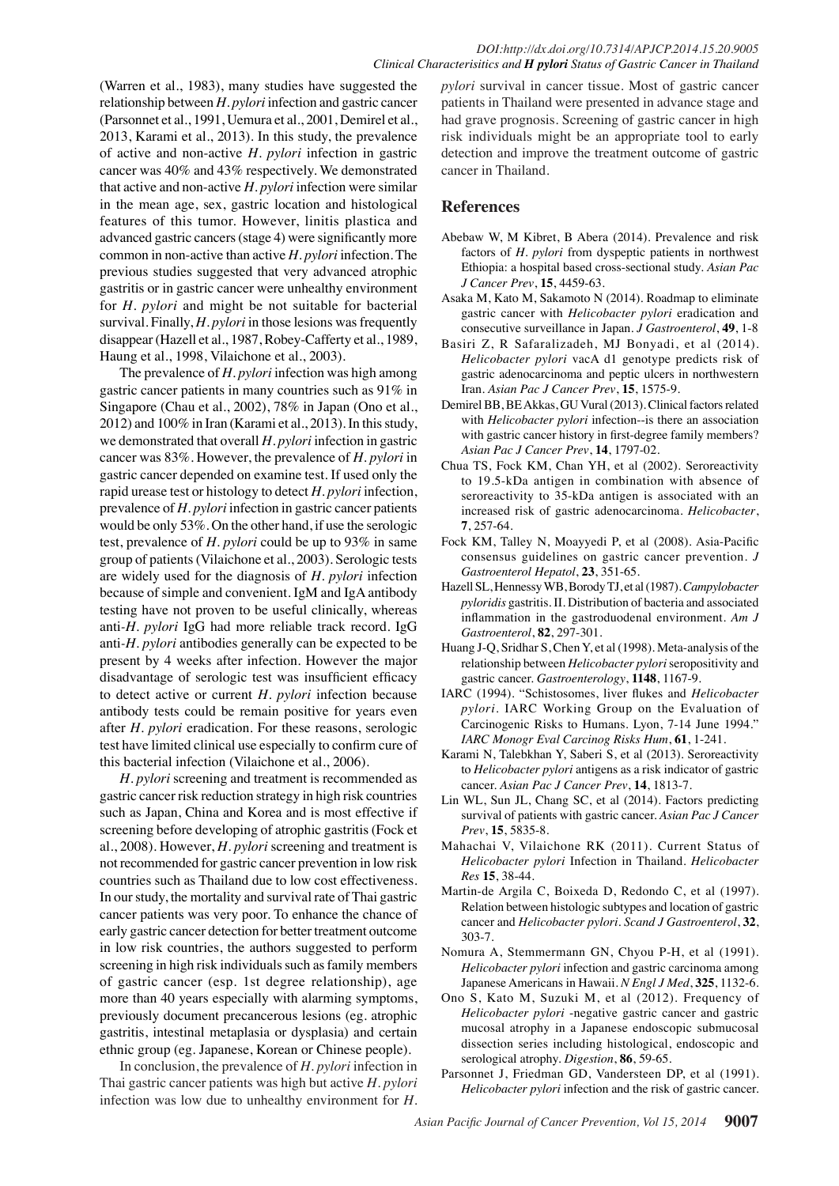(Warren et al., 1983), many studies have suggested the relationship between *H. pylori* infection and gastric cancer (Parsonnet et al., 1991, Uemura et al., 2001, Demirel et al., 2013, Karami et al., 2013). In this study, the prevalence of active and non-active *H. pylori* infection in gastric cancer was 40% and 43% respectively. We demonstrated that active and non-active *H. pylori* infection were similar in the mean age, sex, gastric location and histological features of this tumor. However, linitis plastica and advanced gastric cancers (stage 4) were significantly more common in non-active than active *H. pylori* infection. The previous studies suggested that very advanced atrophic gastritis or in gastric cancer were unhealthy environment for *H. pylori* and might be not suitable for bacterial survival. Finally, *H. pylori* in those lesions was frequently disappear (Hazell et al., 1987, Robey-Cafferty et al., 1989, Haung et al., 1998, Vilaichone et al., 2003).

The prevalence of *H. pylori* infection was high among gastric cancer patients in many countries such as 91% in Singapore (Chau et al., 2002), 78% in Japan (Ono et al., 2012) and 100% in Iran (Karami et al., 2013). In this study, we demonstrated that overall *H. pylori* infection in gastric cancer was 83%. However, the prevalence of *H. pylori* in gastric cancer depended on examine test. If used only the rapid urease test or histology to detect *H. pylori* infection, prevalence of *H. pylori* infection in gastric cancer patients would be only 53%. On the other hand, if use the serologic test, prevalence of *H. pylori* could be up to 93% in same group of patients (Vilaichone et al., 2003). Serologic tests are widely used for the diagnosis of *H. pylori* infection because of simple and convenient. IgM and IgA antibody testing have not proven to be useful clinically, whereas anti*-H. pylori* IgG had more reliable track record. IgG anti*-H. pylori* antibodies generally can be expected to be present by 4 weeks after infection. However the major disadvantage of serologic test was insufficient efficacy to detect active or current *H. pylori* infection because antibody tests could be remain positive for years even after *H. pylori* eradication. For these reasons, serologic test have limited clinical use especially to confirm cure of this bacterial infection (Vilaichone et al., 2006).

*H. pylori* screening and treatment is recommended as gastric cancer risk reduction strategy in high risk countries such as Japan, China and Korea and is most effective if screening before developing of atrophic gastritis (Fock et al., 2008). However, *H. pylori* screening and treatment is not recommended for gastric cancer prevention in low risk countries such as Thailand due to low cost effectiveness. In our study, the mortality and survival rate of Thai gastric cancer patients was very poor. To enhance the chance of early gastric cancer detection for better treatment outcome in low risk countries, the authors suggested to perform screening in high risk individuals such as family members of gastric cancer (esp. 1st degree relationship), age more than 40 years especially with alarming symptoms, previously document precancerous lesions (eg. atrophic gastritis, intestinal metaplasia or dysplasia) and certain ethnic group (eg. Japanese, Korean or Chinese people).

In conclusion, the prevalence of *H. pylori* infection in Thai gastric cancer patients was high but active *H. pylori* infection was low due to unhealthy environment for *H.* 

*pylori* survival in cancer tissue. Most of gastric cancer patients in Thailand were presented in advance stage and had grave prognosis. Screening of gastric cancer in high risk individuals might be an appropriate tool to early detection and improve the treatment outcome of gastric cancer in Thailand.

# **References**

- Abebaw W, M Kibret, B Abera (2014). Prevalence and risk factors of *H. pylori* from dyspeptic patients in northwest Ethiopia: a hospital based cross-sectional study. *Asian Pac J Cancer Prev*, **15**, 4459-63.
- Asaka M, Kato M, Sakamoto N (2014). Roadmap to eliminate gastric cancer with *Helicobacter pylori* eradication and consecutive surveillance in Japan. *J Gastroenterol*, **49**, 1-8
- Basiri Z, R Safaralizadeh, MJ Bonyadi, et al (2014). *Helicobacter pylori* vacA d1 genotype predicts risk of gastric adenocarcinoma and peptic ulcers in northwestern Iran. *Asian Pac J Cancer Prev*, **15**, 1575-9.
- Demirel BB, BE Akkas, GU Vural (2013). Clinical factors related with *Helicobacter pylori* infection--is there an association with gastric cancer history in first-degree family members? *Asian Pac J Cancer Prev*, **14**, 1797-02.
- Chua TS, Fock KM, Chan YH, et al (2002). Seroreactivity to 19.5-kDa antigen in combination with absence of seroreactivity to 35-kDa antigen is associated with an increased risk of gastric adenocarcinoma. *Helicobacter*, **7**, 257-64.
- Fock KM, Talley N, Moayyedi P, et al (2008). Asia-Pacific consensus guidelines on gastric cancer prevention. *J Gastroenterol Hepatol*, **23**, 351-65.
- Hazell SL, Hennessy WB, Borody TJ, et al (1987). *Campylobacter pyloridis* gastritis. II. Distribution of bacteria and associated inflammation in the gastroduodenal environment. *Am J Gastroenterol*, **82**, 297-301.
- Huang J-Q, Sridhar S, Chen Y, et al (1998). Meta-analysis of the relationship between *Helicobacter pylori* seropositivity and gastric cancer. *Gastroenterology*, **1148**, 1167-9.
- IARC (1994). "Schistosomes, liver flukes and *Helicobacter pylori*. IARC Working Group on the Evaluation of Carcinogenic Risks to Humans. Lyon, 7-14 June 1994." *IARC Monogr Eval Carcinog Risks Hum*, **61**, 1-241.
- Karami N, Talebkhan Y, Saberi S, et al (2013). Seroreactivity to *Helicobacter pylori* antigens as a risk indicator of gastric cancer. *Asian Pac J Cancer Prev*, **14**, 1813-7.
- Lin WL, Sun JL, Chang SC, et al (2014). Factors predicting survival of patients with gastric cancer. *Asian Pac J Cancer Prev*, **15**, 5835-8.
- Mahachai V, Vilaichone RK (2011). Current Status of *Helicobacter pylori* Infection in Thailand. *Helicobacter Res* **15**, 38-44.
- Martin-de Argila C, Boixeda D, Redondo C, et al (1997). Relation between histologic subtypes and location of gastric cancer and *Helicobacter pylori*. *Scand J Gastroenterol*, **32**, 303-7.
- Nomura A, Stemmermann GN, Chyou P-H, et al (1991). *Helicobacter pylori* infection and gastric carcinoma among Japanese Americans in Hawaii. *N Engl J Med*, **325**, 1132-6.
- Ono S, Kato M, Suzuki M, et al (2012). Frequency of *Helicobacter pylori* -negative gastric cancer and gastric mucosal atrophy in a Japanese endoscopic submucosal dissection series including histological, endoscopic and serological atrophy. *Digestion*, **86**, 59-65.
- Parsonnet J, Friedman GD, Vandersteen DP, et al (1991). *Helicobacter pylori* infection and the risk of gastric cancer.